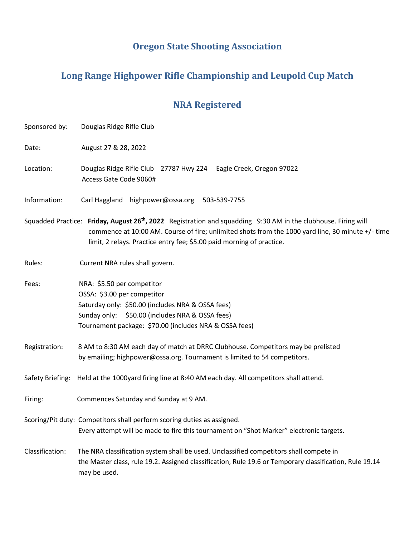# **Oregon State Shooting Association**

# **Long Range Highpower Rifle Championship and Leupold Cup Match**

# **NRA Registered**

| Sponsored by:   | Douglas Ridge Rifle Club                                                                                                                                                                                                                                                                                 |  |  |
|-----------------|----------------------------------------------------------------------------------------------------------------------------------------------------------------------------------------------------------------------------------------------------------------------------------------------------------|--|--|
| Date:           | August 27 & 28, 2022                                                                                                                                                                                                                                                                                     |  |  |
| Location:       | Douglas Ridge Rifle Club 27787 Hwy 224 Eagle Creek, Oregon 97022<br>Access Gate Code 9060#                                                                                                                                                                                                               |  |  |
| Information:    | Carl Haggland highpower@ossa.org<br>503-539-7755                                                                                                                                                                                                                                                         |  |  |
|                 | Squadded Practice: Friday, August 26 <sup>th</sup> , 2022 Registration and squadding 9:30 AM in the clubhouse. Firing will<br>commence at 10:00 AM. Course of fire; unlimited shots from the 1000 yard line, 30 minute +/- time<br>limit, 2 relays. Practice entry fee; \$5.00 paid morning of practice. |  |  |
| Rules:          | Current NRA rules shall govern.                                                                                                                                                                                                                                                                          |  |  |
| Fees:           | NRA: \$5.50 per competitor<br>OSSA: \$3.00 per competitor<br>Saturday only: \$50.00 (includes NRA & OSSA fees)<br>Sunday only: \$50.00 (includes NRA & OSSA fees)<br>Tournament package: \$70.00 (includes NRA & OSSA fees)                                                                              |  |  |
| Registration:   | 8 AM to 8:30 AM each day of match at DRRC Clubhouse. Competitors may be prelisted<br>by emailing; highpower@ossa.org. Tournament is limited to 54 competitors.                                                                                                                                           |  |  |
|                 | Safety Briefing: Held at the 1000yard firing line at 8:40 AM each day. All competitors shall attend.                                                                                                                                                                                                     |  |  |
| Firing:         | Commences Saturday and Sunday at 9 AM.                                                                                                                                                                                                                                                                   |  |  |
|                 | Scoring/Pit duty: Competitors shall perform scoring duties as assigned.<br>Every attempt will be made to fire this tournament on "Shot Marker" electronic targets.                                                                                                                                       |  |  |
| Classification: | The NRA classification system shall be used. Unclassified competitors shall compete in<br>the Master class, rule 19.2. Assigned classification, Rule 19.6 or Temporary classification, Rule 19.14<br>may be used.                                                                                        |  |  |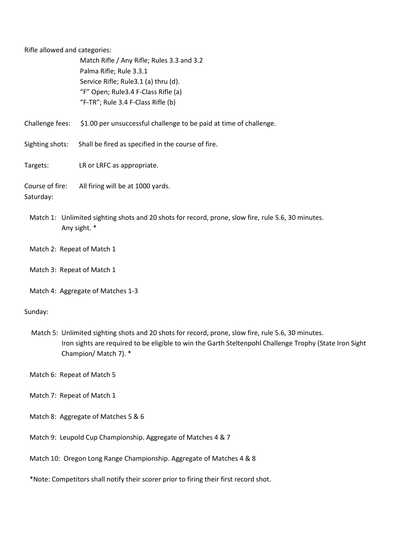Rifle allowed and categories:

 Match Rifle / Any Rifle; Rules 3.3 and 3.2 Palma Rifle; Rule 3.3.1 Service Rifle; Rule3.1 (a) thru (d). "F" Open; Rule3.4 F-Class Rifle (a) "F-TR"; Rule 3.4 F-Class Rifle (b)

Challenge fees: \$1.00 per unsuccessful challenge to be paid at time of challenge.

Sighting shots: Shall be fired as specified in the course of fire.

Targets: LR or LRFC as appropriate.

Course of fire: All firing will be at 1000 yards. Saturday:

 Match 1: Unlimited sighting shots and 20 shots for record, prone, slow fire, rule 5.6, 30 minutes. Any sight. \*

Match 2: Repeat of Match 1

Match 3: Repeat of Match 1

Match 4: Aggregate of Matches 1-3

Sunday:

 Match 5: Unlimited sighting shots and 20 shots for record, prone, slow fire, rule 5.6, 30 minutes. Iron sights are required to be eligible to win the Garth Steltenpohl Challenge Trophy (State Iron Sight Champion/ Match 7). \*

Match 6: Repeat of Match 5

- Match 7: Repeat of Match 1
- Match 8: Aggregate of Matches 5 & 6
- Match 9: Leupold Cup Championship. Aggregate of Matches 4 & 7

Match 10: Oregon Long Range Championship. Aggregate of Matches 4 & 8

\*Note: Competitors shall notify their scorer prior to firing their first record shot.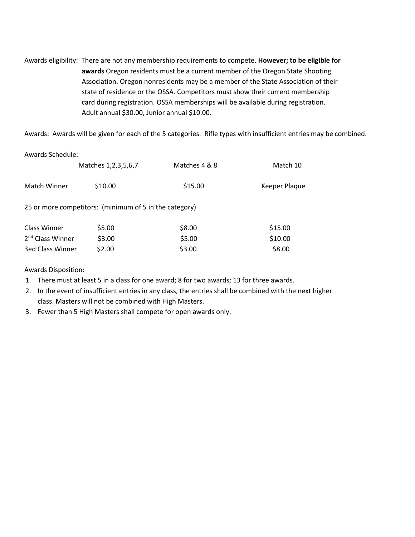Awards eligibility: There are not any membership requirements to compete. **However; to be eligible for awards** Oregon residents must be a current member of the Oregon State Shooting Association. Oregon nonresidents may be a member of the State Association of their state of residence or the OSSA. Competitors must show their current membership card during registration. OSSA memberships will be available during registration. Adult annual \$30.00, Junior annual \$10.00.

Awards: Awards will be given for each of the 5 categories. Rifle types with insufficient entries may be combined.

| Awards Schedule:             |                                                        |               |               |
|------------------------------|--------------------------------------------------------|---------------|---------------|
|                              | Matches 1, 2, 3, 5, 6, 7                               | Matches 4 & 8 | Match 10      |
| <b>Match Winner</b>          | \$10.00                                                | \$15.00       | Keeper Plaque |
|                              | 25 or more competitors: (minimum of 5 in the category) |               |               |
| <b>Class Winner</b>          | \$5.00                                                 | \$8.00        | \$15.00       |
| 2 <sup>nd</sup> Class Winner | \$3.00                                                 | \$5.00        | \$10.00       |
| 3ed Class Winner             | \$2.00                                                 | \$3.00        | \$8.00        |

Awards Disposition:

1. There must at least 5 in a class for one award; 8 for two awards; 13 for three awards.

2. In the event of insufficient entries in any class, the entries shall be combined with the next higher class. Masters will not be combined with High Masters.

3. Fewer than 5 High Masters shall compete for open awards only.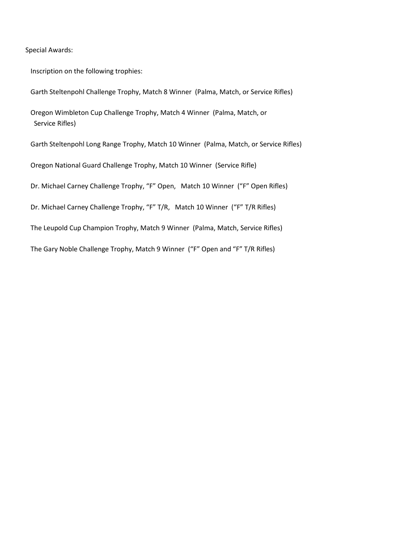Special Awards:

Inscription on the following trophies:

Garth Steltenpohl Challenge Trophy, Match 8 Winner (Palma, Match, or Service Rifles)

 Oregon Wimbleton Cup Challenge Trophy, Match 4 Winner (Palma, Match, or Service Rifles)

Garth Steltenpohl Long Range Trophy, Match 10 Winner (Palma, Match, or Service Rifles)

Oregon National Guard Challenge Trophy, Match 10 Winner (Service Rifle)

Dr. Michael Carney Challenge Trophy, "F" Open, Match 10 Winner ("F" Open Rifles)

Dr. Michael Carney Challenge Trophy, "F" T/R, Match 10 Winner ("F" T/R Rifles)

The Leupold Cup Champion Trophy, Match 9 Winner (Palma, Match, Service Rifles)

The Gary Noble Challenge Trophy, Match 9 Winner ("F" Open and "F" T/R Rifles)